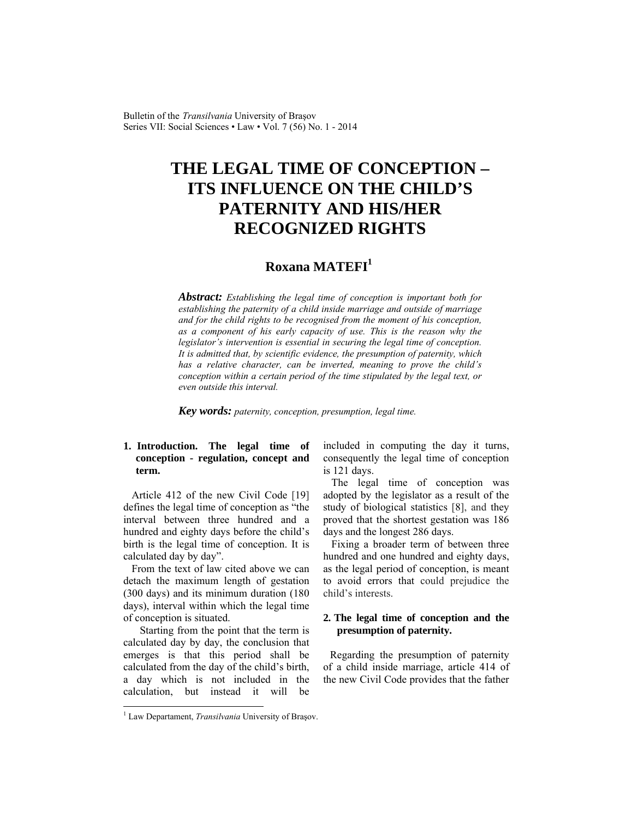Bulletin of the *Transilvania* University of Braşov Series VII: Social Sciences • Law • Vol. 7 (56) No. 1 - 2014

# **THE LEGAL TIME OF CONCEPTION – ITS INFLUENCE ON THE CHILD'S PATERNITY AND HIS/HER RECOGNIZED RIGHTS**

## **Roxana MATEFI1**

*Abstract: Establishing the legal time of conception is important both for establishing the paternity of a child inside marriage and outside of marriage and for the child rights to be recognised from the moment of his conception, as a component of his early capacity of use. This is the reason why the legislator's intervention is essential in securing the legal time of conception. It is admitted that, by scientific evidence, the presumption of paternity, which has a relative character, can be inverted, meaning to prove the child's conception within a certain period of the time stipulated by the legal text, or even outside this interval.* 

*Key words: paternity, conception, presumption, legal time.*

### **1. Introduction. The legal time of conception - regulation, concept and term.**

Article 412 of the new Civil Code [19] defines the legal time of conception as "the interval between three hundred and a hundred and eighty days before the child's birth is the legal time of conception. It is calculated day by day".

From the text of law cited above we can detach the maximum length of gestation (300 days) and its minimum duration (180 days), interval within which the legal time of conception is situated.

 Starting from the point that the term is calculated day by day, the conclusion that emerges is that this period shall be calculated from the day of the child's birth, a day which is not included in the calculation, but instead it will be included in computing the day it turns, consequently the legal time of conception is 121 days.

The legal time of conception was adopted by the legislator as a result of the study of biological statistics [8], and they proved that the shortest gestation was 186 days and the longest 286 days.

Fixing a broader term of between three hundred and one hundred and eighty days, as the legal period of conception, is meant to avoid errors that could prejudice the child's interests.

#### **2. The legal time of conception and the presumption of paternity.**

Regarding the presumption of paternity of a child inside marriage, article 414 of the new Civil Code provides that the father

l

<sup>&</sup>lt;sup>1</sup> Law Departament, *Transilvania* University of Brașov.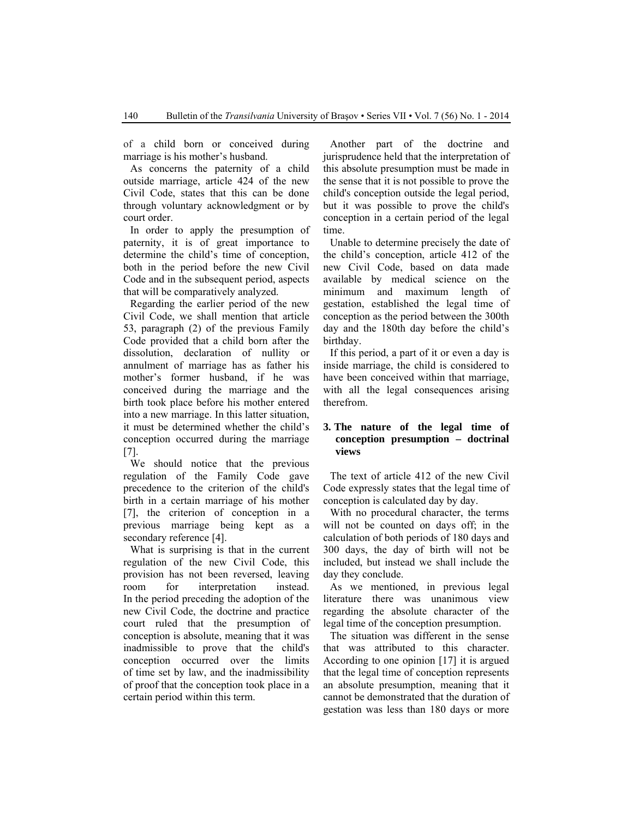of a child born or conceived during marriage is his mother's husband.

As concerns the paternity of a child outside marriage, article 424 of the new Civil Code, states that this can be done through voluntary acknowledgment or by court order.

In order to apply the presumption of paternity, it is of great importance to determine the child's time of conception, both in the period before the new Civil Code and in the subsequent period, aspects that will be comparatively analyzed.

Regarding the earlier period of the new Civil Code, we shall mention that article 53, paragraph (2) of the previous Family Code provided that a child born after the dissolution, declaration of nullity or annulment of marriage has as father his mother's former husband, if he was conceived during the marriage and the birth took place before his mother entered into a new marriage. In this latter situation, it must be determined whether the child's conception occurred during the marriage [7].

We should notice that the previous regulation of the Family Code gave precedence to the criterion of the child's birth in a certain marriage of his mother [7], the criterion of conception in a previous marriage being kept as a secondary reference [4].

What is surprising is that in the current regulation of the new Civil Code, this provision has not been reversed, leaving room for interpretation instead. In the period preceding the adoption of the new Civil Code, the doctrine and practice court ruled that the presumption of conception is absolute, meaning that it was inadmissible to prove that the child's conception occurred over the limits of time set by law, and the inadmissibility of proof that the conception took place in a certain period within this term.

Another part of the doctrine and jurisprudence held that the interpretation of this absolute presumption must be made in the sense that it is not possible to prove the child's conception outside the legal period, but it was possible to prove the child's conception in a certain period of the legal time.

Unable to determine precisely the date of the child's conception, article 412 of the new Civil Code, based on data made available by medical science on the minimum and maximum length of gestation, established the legal time of conception as the period between the 300th day and the 180th day before the child's birthday.

If this period, a part of it or even a day is inside marriage, the child is considered to have been conceived within that marriage, with all the legal consequences arising therefrom.

#### **3. The nature of the legal time of conception presumption – doctrinal views**

The text of article 412 of the new Civil Code expressly states that the legal time of conception is calculated day by day.

With no procedural character, the terms will not be counted on days off; in the calculation of both periods of 180 days and 300 days, the day of birth will not be included, but instead we shall include the day they conclude.

As we mentioned, in previous legal literature there was unanimous view regarding the absolute character of the legal time of the conception presumption.

The situation was different in the sense that was attributed to this character. According to one opinion [17] it is argued that the legal time of conception represents an absolute presumption, meaning that it cannot be demonstrated that the duration of gestation was less than 180 days or more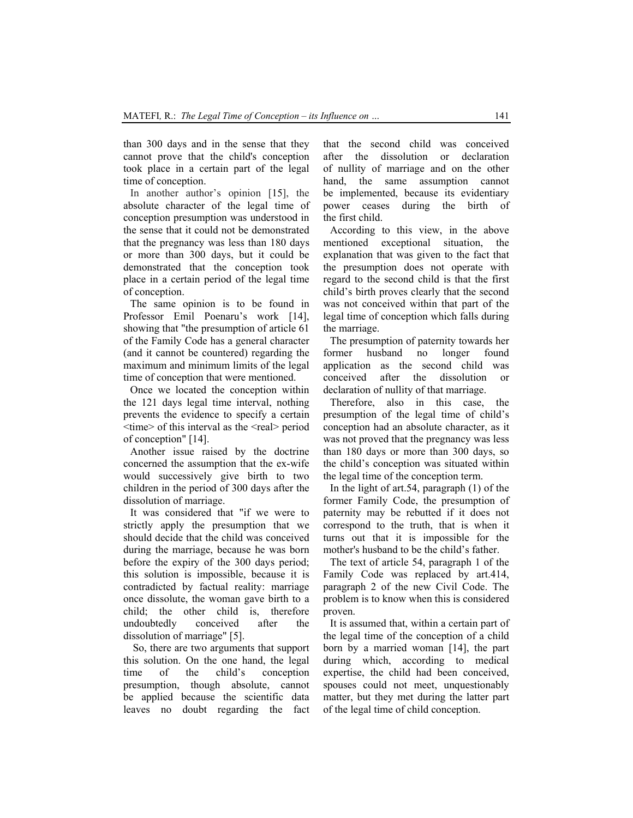than 300 days and in the sense that they cannot prove that the child's conception took place in a certain part of the legal time of conception.

In another author's opinion [15], the absolute character of the legal time of conception presumption was understood in the sense that it could not be demonstrated that the pregnancy was less than 180 days or more than 300 days, but it could be demonstrated that the conception took place in a certain period of the legal time of conception.

The same opinion is to be found in Professor Emil Poenaru's work [14], showing that "the presumption of article 61 of the Family Code has a general character (and it cannot be countered) regarding the maximum and minimum limits of the legal time of conception that were mentioned.

Once we located the conception within the 121 days legal time interval, nothing prevents the evidence to specify a certain <time> of this interval as the <real> period of conception" [14].

Another issue raised by the doctrine concerned the assumption that the ex-wife would successively give birth to two children in the period of 300 days after the dissolution of marriage.

It was considered that "if we were to strictly apply the presumption that we should decide that the child was conceived during the marriage, because he was born before the expiry of the 300 days period; this solution is impossible, because it is contradicted by factual reality: marriage once dissolute, the woman gave birth to a child; the other child is, therefore undoubtedly conceived after the dissolution of marriage" [5].

 So, there are two arguments that support this solution. On the one hand, the legal time of the child's conception presumption, though absolute, cannot be applied because the scientific data leaves no doubt regarding the fact that the second child was conceived after the dissolution or declaration of nullity of marriage and on the other hand, the same assumption cannot be implemented, because its evidentiary power ceases during the birth of the first child.

According to this view, in the above mentioned exceptional situation, the explanation that was given to the fact that the presumption does not operate with regard to the second child is that the first child's birth proves clearly that the second was not conceived within that part of the legal time of conception which falls during the marriage.

The presumption of paternity towards her<br>ormer husband no longer found former husband no longer found application as the second child was conceived after the dissolution or declaration of nullity of that marriage.

Therefore, also in this case, the presumption of the legal time of child's conception had an absolute character, as it was not proved that the pregnancy was less than 180 days or more than 300 days, so the child's conception was situated within the legal time of the conception term.

In the light of art.54, paragraph (1) of the former Family Code, the presumption of paternity may be rebutted if it does not correspond to the truth, that is when it turns out that it is impossible for the mother's husband to be the child's father.

The text of article 54, paragraph 1 of the Family Code was replaced by art.414, paragraph 2 of the new Civil Code. The problem is to know when this is considered proven.

It is assumed that, within a certain part of the legal time of the conception of a child born by a married woman [14], the part during which, according to medical expertise, the child had been conceived, spouses could not meet, unquestionably matter, but they met during the latter part of the legal time of child conception.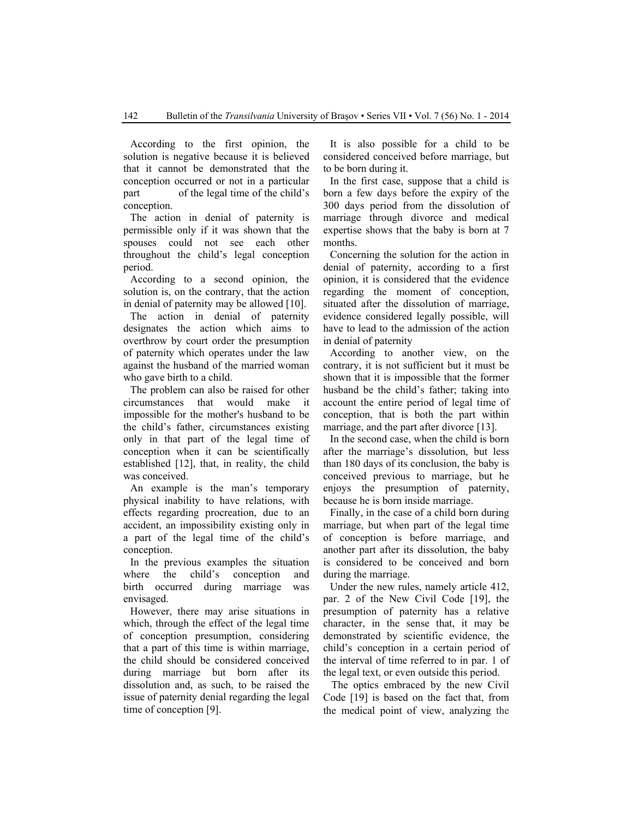According to the first opinion, the solution is negative because it is believed that it cannot be demonstrated that the conception occurred or not in a particular part of the legal time of the child's conception.

The action in denial of paternity is permissible only if it was shown that the spouses could not see each other throughout the child's legal conception period.

According to a second opinion, the solution is, on the contrary, that the action in denial of paternity may be allowed [10].

The action in denial of paternity designates the action which aims to overthrow by court order the presumption of paternity which operates under the law against the husband of the married woman who gave birth to a child.

The problem can also be raised for other circumstances that would make it impossible for the mother's husband to be the child's father, circumstances existing only in that part of the legal time of conception when it can be scientifically established [12], that, in reality, the child was conceived.

An example is the man's temporary physical inability to have relations, with effects regarding procreation, due to an accident, an impossibility existing only in a part of the legal time of the child's conception.

In the previous examples the situation where the child's conception and birth occurred during marriage was envisaged.

However, there may arise situations in which, through the effect of the legal time of conception presumption, considering that a part of this time is within marriage, the child should be considered conceived during marriage but born after its dissolution and, as such, to be raised the issue of paternity denial regarding the legal time of conception [9].

It is also possible for a child to be considered conceived before marriage, but to be born during it.

In the first case, suppose that a child is born a few days before the expiry of the 300 days period from the dissolution of marriage through divorce and medical expertise shows that the baby is born at 7 months.

Concerning the solution for the action in denial of paternity, according to a first opinion, it is considered that the evidence regarding the moment of conception, situated after the dissolution of marriage, evidence considered legally possible, will have to lead to the admission of the action in denial of paternity

According to another view, on the contrary, it is not sufficient but it must be shown that it is impossible that the former husband be the child's father; taking into account the entire period of legal time of conception, that is both the part within marriage, and the part after divorce [13].

In the second case, when the child is born after the marriage's dissolution, but less than 180 days of its conclusion, the baby is conceived previous to marriage, but he enjoys the presumption of paternity, because he is born inside marriage.

Finally, in the case of a child born during marriage, but when part of the legal time of conception is before marriage, and another part after its dissolution, the baby is considered to be conceived and born during the marriage.

Under the new rules, namely article 412, par. 2 of the New Civil Code [19], the presumption of paternity has a relative character, in the sense that, it may be demonstrated by scientific evidence, the child's conception in a certain period of the interval of time referred to in par. 1 of the legal text, or even outside this period.

The optics embraced by the new Civil Code [19] is based on the fact that, from the medical point of view, analyzing the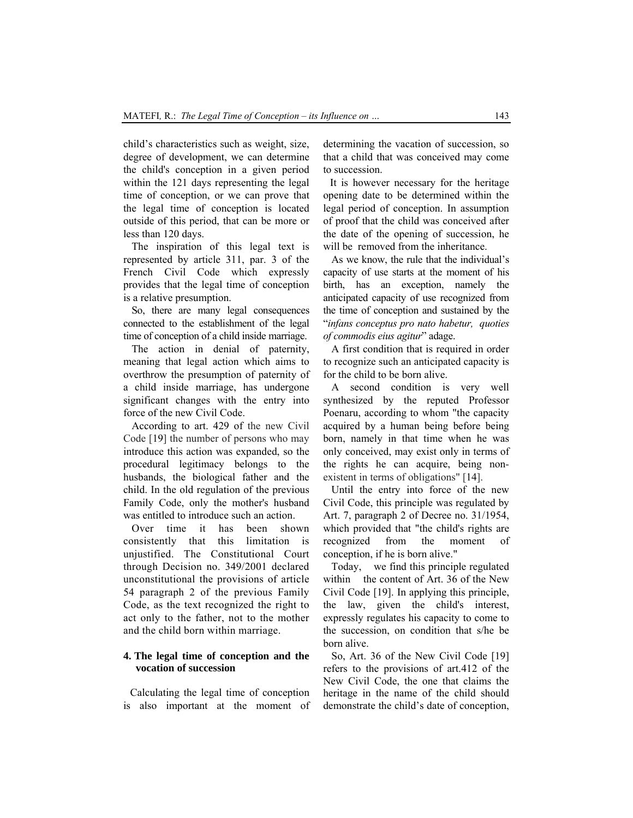child's characteristics such as weight, size, degree of development, we can determine the child's conception in a given period within the 121 days representing the legal time of conception, or we can prove that the legal time of conception is located outside of this period, that can be more or less than 120 days.

The inspiration of this legal text is represented by article 311, par. 3 of the French Civil Code which expressly provides that the legal time of conception is a relative presumption.

So, there are many legal consequences connected to the establishment of the legal time of conception of a child inside marriage.

The action in denial of paternity, meaning that legal action which aims to overthrow the presumption of paternity of a child inside marriage, has undergone significant changes with the entry into force of the new Civil Code.

According to art. 429 of the new Civil Code [19] the number of persons who may introduce this action was expanded, so the procedural legitimacy belongs to the husbands, the biological father and the child. In the old regulation of the previous Family Code, only the mother's husband was entitled to introduce such an action.

Over time it has been shown consistently that this limitation is unjustified. The Constitutional Court through Decision no. 349/2001 declared unconstitutional the provisions of article 54 paragraph 2 of the previous Family Code, as the text recognized the right to act only to the father, not to the mother and the child born within marriage.

#### **4. The legal time of conception and the vocation of succession**

Calculating the legal time of conception is also important at the moment of determining the vacation of succession, so that a child that was conceived may come to succession.

It is however necessary for the heritage opening date to be determined within the legal period of conception. In assumption of proof that the child was conceived after the date of the opening of succession, he will be removed from the inheritance.

As we know, the rule that the individual's capacity of use starts at the moment of his birth, has an exception, namely the anticipated capacity of use recognized from the time of conception and sustained by the "*infans conceptus pro nato habetur, quoties of commodis eius agitur*" adage.

A first condition that is required in order to recognize such an anticipated capacity is for the child to be born alive.

A second condition is very well synthesized by the reputed Professor Poenaru, according to whom "the capacity acquired by a human being before being born, namely in that time when he was only conceived, may exist only in terms of the rights he can acquire, being nonexistent in terms of obligations" [14].

Until the entry into force of the new Civil Code, this principle was regulated by Art. 7, paragraph 2 of Decree no. 31/1954, which provided that "the child's rights are recognized from the moment of conception, if he is born alive."

Today, we find this principle regulated within the content of Art. 36 of the New Civil Code [19]. In applying this principle, the law, given the child's interest, expressly regulates his capacity to come to the succession, on condition that s/he be born alive.

So, Art. 36 of the New Civil Code [19] refers to the provisions of art.412 of the New Civil Code, the one that claims the heritage in the name of the child should demonstrate the child's date of conception,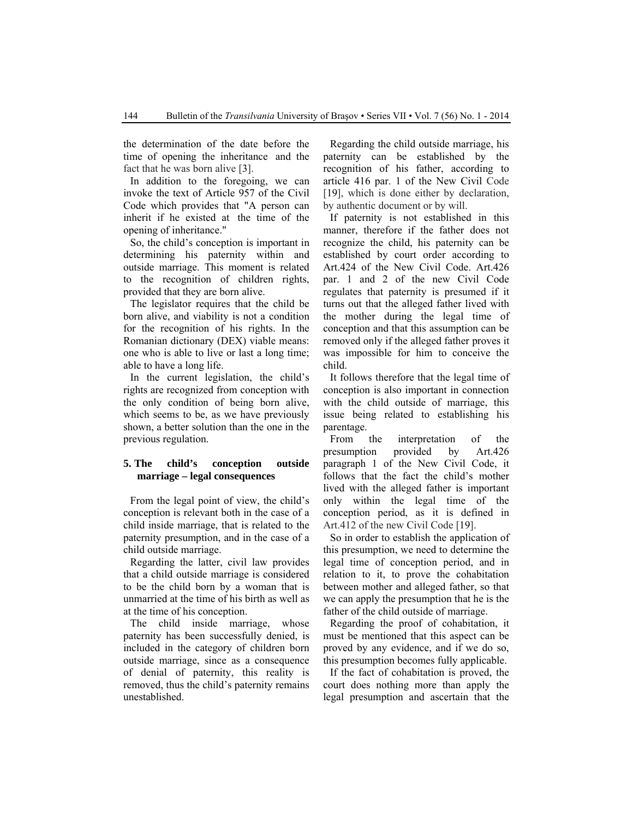the determination of the date before the time of opening the inheritance and the fact that he was born alive [3].

In addition to the foregoing, we can invoke the text of Article 957 of the Civil Code which provides that "A person can inherit if he existed at the time of the opening of inheritance."

So, the child's conception is important in determining his paternity within and outside marriage. This moment is related to the recognition of children rights, provided that they are born alive.

The legislator requires that the child be born alive, and viability is not a condition for the recognition of his rights. In the Romanian dictionary (DEX) viable means: one who is able to live or last a long time; able to have a long life.

In the current legislation, the child's rights are recognized from conception with the only condition of being born alive, which seems to be, as we have previously shown, a better solution than the one in the previous regulation.

#### **5. The child's conception outside marriage – legal consequences**

From the legal point of view, the child's conception is relevant both in the case of a child inside marriage, that is related to the paternity presumption, and in the case of a child outside marriage.

Regarding the latter, civil law provides that a child outside marriage is considered to be the child born by a woman that is unmarried at the time of his birth as well as at the time of his conception.

The child inside marriage, whose paternity has been successfully denied, is included in the category of children born outside marriage, since as a consequence of denial of paternity, this reality is removed, thus the child's paternity remains unestablished.

Regarding the child outside marriage, his paternity can be established by the recognition of his father, according to article 416 par. 1 of the New Civil Code [19], which is done either by declaration, by authentic document or by will.

If paternity is not established in this manner, therefore if the father does not recognize the child, his paternity can be established by court order according to Art.424 of the New Civil Code. Art.426 par. 1 and 2 of the new Civil Code regulates that paternity is presumed if it turns out that the alleged father lived with the mother during the legal time of conception and that this assumption can be removed only if the alleged father proves it was impossible for him to conceive the child.

It follows therefore that the legal time of conception is also important in connection with the child outside of marriage, this issue being related to establishing his parentage.

From the interpretation of the presumption provided by Art.426 paragraph 1 of the New Civil Code, it follows that the fact the child's mother lived with the alleged father is important only within the legal time of the conception period, as it is defined in Art.412 of the new Civil Code [19].

So in order to establish the application of this presumption, we need to determine the legal time of conception period, and in relation to it, to prove the cohabitation between mother and alleged father, so that we can apply the presumption that he is the father of the child outside of marriage.

Regarding the proof of cohabitation, it must be mentioned that this aspect can be proved by any evidence, and if we do so, this presumption becomes fully applicable.

If the fact of cohabitation is proved, the court does nothing more than apply the legal presumption and ascertain that the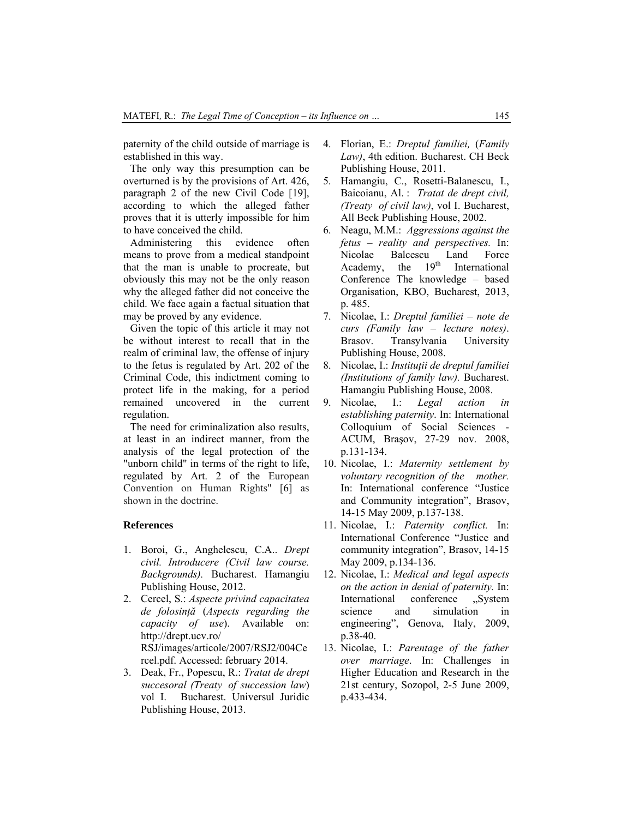paternity of the child outside of marriage is established in this way.

The only way this presumption can be overturned is by the provisions of Art. 426, paragraph 2 of the new Civil Code [19], according to which the alleged father proves that it is utterly impossible for him to have conceived the child.

Administering this evidence often means to prove from a medical standpoint that the man is unable to procreate, but obviously this may not be the only reason why the alleged father did not conceive the child. We face again a factual situation that may be proved by any evidence.

Given the topic of this article it may not be without interest to recall that in the realm of criminal law, the offense of injury to the fetus is regulated by Art. 202 of the Criminal Code, this indictment coming to protect life in the making, for a period remained uncovered in the current regulation.

The need for criminalization also results, at least in an indirect manner, from the analysis of the legal protection of the "unborn child" in terms of the right to life, regulated by Art. 2 of the European Convention on Human Rights" [6] as shown in the doctrine.

#### **References**

- 1. Boroi, G., Anghelescu, C.A.. *Drept civil. Introducere (Civil law course. Backgrounds).* Bucharest. Hamangiu Publishing House, 2012.
- 2. Cercel, S.: *Aspecte privind capacitatea de folosinţă* (*Aspects regarding the capacity of use*). Available on: http://drept.ucv.ro/ RSJ/images/articole/2007/RSJ2/004Ce rcel.pdf. Accessed: february 2014.
- 3. Deak, Fr., Popescu, R.: *Tratat de drept succesoral (Treaty of succession law*) vol I. Bucharest. Universul Juridic Publishing House, 2013.
- 4. Florian, E.: *Dreptul familiei,* (*Family Law)*, 4th edition. Bucharest. CH Beck Publishing House, 2011.
- 5. Hamangiu, C., Rosetti-Balanescu, I., Baicoianu, Al. : *Tratat de drept civil, (Treaty of civil law)*, vol I. Bucharest, All Beck Publishing House, 2002.
- 6. Neagu, M.M.: *Aggressions against the fetus – reality and perspectives.* In: Nicolae Balcescu Land Force<br>Academy, the 19<sup>th</sup> International Academy, the  $19<sup>th</sup>$  International Conference The knowledge – based Organisation, KBO, Bucharest, 2013, p. 485.
- 7. Nicolae, I.: *Dreptul familiei note de curs (Family law – lecture notes)*. Brasov. Transylvania University Publishing House, 2008.
- 8. Nicolae, I.: *Instituţii de dreptul familiei (Institutions of family law).* Bucharest. Hamangiu Publishing House, 2008.
- 9. Nicolae, I.: *Legal action in establishing paternity*. In: International Colloquium of Social Sciences - ACUM, Braşov, 27-29 nov. 2008, p.131-134.
- 10. Nicolae, I.: *Maternity settlement by voluntary recognition of the mother.* In: International conference "Justice and Community integration", Brasov, 14-15 May 2009, p.137-138.
- 11. Nicolae, I.: *Paternity conflict.* In: International Conference "Justice and community integration", Brasov, 14-15 May 2009, p.134-136.
- 12. Nicolae, I.: *Medical and legal aspects on the action in denial of paternity.* In: International conference "System science and simulation in engineering", Genova, Italy, 2009, p.38-40.
- 13. Nicolae, I.: *Parentage of the father over marriage*. In: Challenges in Higher Education and Research in the 21st century, Sozopol, 2-5 June 2009, p.433-434.